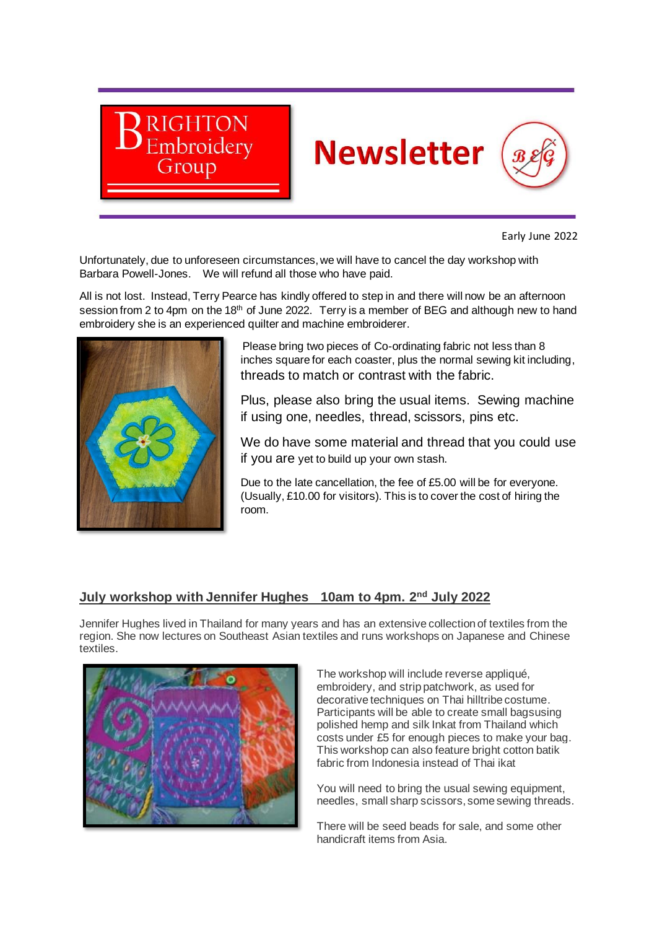

Early June 2022

Unfortunately, due to unforeseen circumstances, we will have to cancel the day workshop with Barbara Powell-Jones. We will refund all those who have paid.

All is not lost. Instead, Terry Pearce has kindly offered to step in and there will now be an afternoon session from 2 to 4pm on the 18<sup>th</sup> of June 2022. Terry is a member of BEG and although new to hand embroidery she is an experienced quilter and machine embroiderer.



Please bring two pieces of Co-ordinating fabric not less than 8 inches square for each coaster, plus the normal sewing kit including, threads to match or contrast with the fabric.

Plus, please also bring the usual items. Sewing machine if using one, needles, thread, scissors, pins etc.

We do have some material and thread that you could use if you are yet to build up your own stash.

Due to the late cancellation, the fee of £5.00 will be for everyone. (Usually, £10.00 for visitors). This is to cover the cost of hiring the room.

## **July workshop with Jennifer Hughes 10am to 4pm. 2nd July 2022**

Jennifer Hughes lived in Thailand for many years and has an extensive collection of textiles from the region. She now lectures on Southeast Asian textiles and runs workshops on Japanese and Chinese textiles.



The workshop will include reverse appliqué, embroidery, and strip patchwork, as used for decorative techniques on Thai hilltribe costume. Participants will be able to create small bagsusing polished hemp and silk Inkat from Thailand which costs under £5 for enough pieces to make your bag. This workshop can also feature bright cotton batik fabric from Indonesia instead of Thai ikat

You will need to bring the usual sewing equipment, needles, small sharp scissors, some sewing threads.

There will be seed beads for sale, and some other handicraft items from Asia.